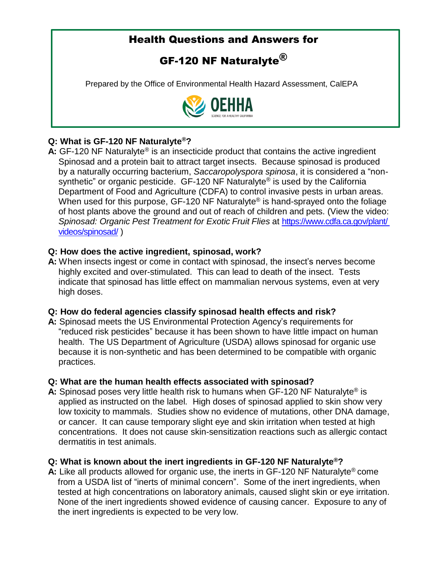# Health Questions and Answers for

# GF-120 NF Naturalyte $^{\circledR}$

Prepared by the Office of Environmental Health Hazard Assessment, CalEPA



# **Q: What is GF-120 NF Naturalyte®?**

A: GF-120 NF Naturalyte<sup>®</sup> is an insecticide product that contains the active ingredient Spinosad and a protein bait to attract target insects. Because spinosad is produced by a naturally occurring bacterium, *Saccaropolyspora spinosa*, it is considered a "nonsynthetic" or organic pesticide. GF-120 NF Naturalyte<sup>®</sup> is used by the California Department of Food and Agriculture (CDFA) to control invasive pests in urban areas. When used for this purpose, GF-120 NF Naturalyte<sup>®</sup> is hand-sprayed onto the foliage of host plants above the ground and out of reach of children and pets. (View the video: *Spinosad: Organic Pest Treatment for Exotic Fruit Flies* at [https://www.cdfa.ca.gov/plant/](https://www.cdfa.ca.gov/plant/videos/spinosad/)  [videos/spinosad/](https://www.cdfa.ca.gov/plant/videos/spinosad/) )

### **Q: How does the active ingredient, spinosad, work?**

**A:** When insects ingest or come in contact with spinosad, the insect's nerves become highly excited and over-stimulated. This can lead to death of the insect. Tests indicate that spinosad has little effect on mammalian nervous systems, even at very high doses.

# **Q: How do federal agencies classify spinosad health effects and risk?**

**A:** Spinosad meets the US Environmental Protection Agency's requirements for "reduced risk pesticides" because it has been shown to have little impact on human health. The US Department of Agriculture (USDA) allows spinosad for organic use because it is non-synthetic and has been determined to be compatible with organic practices.

#### **Q: What are the human health effects associated with spinosad?**

**A:** Spinosad poses very little health risk to humans when GF-120 NF Naturalyte® is applied as instructed on the label*.* High doses of spinosad applied to skin show very low toxicity to mammals. Studies show no evidence of mutations, other DNA damage, or cancer. It can cause temporary slight eye and skin irritation when tested at high concentrations. It does not cause skin-sensitization reactions such as allergic contact dermatitis in test animals.

# **Q: What is known about the inert ingredients in GF-120 NF Naturalyte®?**

**A:** Like all products allowed for organic use, the inerts in GF-120 NF Naturalyte® come from a USDA list of "inerts of minimal concern". Some of the inert ingredients, when tested at high concentrations on laboratory animals, caused slight skin or eye irritation. None of the inert ingredients showed evidence of causing cancer. Exposure to any of the inert ingredients is expected to be very low.